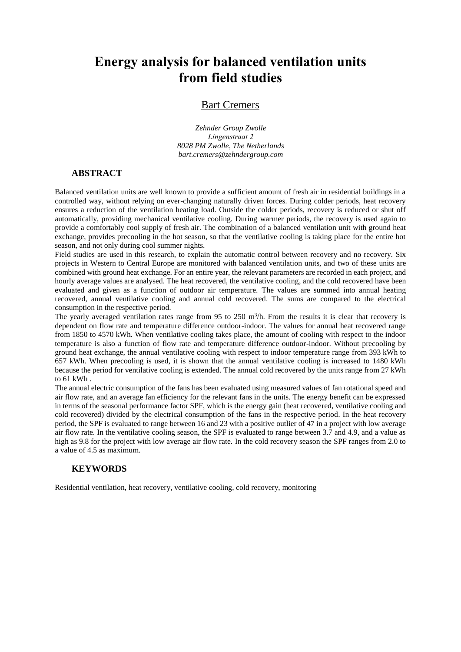# **Energy analysis for balanced ventilation units from field studies**

#### Bart Cremers

*Zehnder Group Zwolle Lingenstraat 2 8028 PM Zwolle, The Netherlands bart.cremers@zehndergroup.com*

#### **ABSTRACT**

Balanced ventilation units are well known to provide a sufficient amount of fresh air in residential buildings in a controlled way, without relying on ever-changing naturally driven forces. During colder periods, heat recovery ensures a reduction of the ventilation heating load. Outside the colder periods, recovery is reduced or shut off automatically, providing mechanical ventilative cooling. During warmer periods, the recovery is used again to provide a comfortably cool supply of fresh air. The combination of a balanced ventilation unit with ground heat exchange, provides precooling in the hot season, so that the ventilative cooling is taking place for the entire hot season, and not only during cool summer nights.

Field studies are used in this research, to explain the automatic control between recovery and no recovery. Six projects in Western to Central Europe are monitored with balanced ventilation units, and two of these units are combined with ground heat exchange. For an entire year, the relevant parameters are recorded in each project, and hourly average values are analysed. The heat recovered, the ventilative cooling, and the cold recovered have been evaluated and given as a function of outdoor air temperature. The values are summed into annual heating recovered, annual ventilative cooling and annual cold recovered. The sums are compared to the electrical consumption in the respective period.

The yearly averaged ventilation rates range from 95 to 250  $m<sup>3</sup>/h$ . From the results it is clear that recovery is dependent on flow rate and temperature difference outdoor-indoor. The values for annual heat recovered range from 1850 to 4570 kWh. When ventilative cooling takes place, the amount of cooling with respect to the indoor temperature is also a function of flow rate and temperature difference outdoor-indoor. Without precooling by ground heat exchange, the annual ventilative cooling with respect to indoor temperature range from 393 kWh to 657 kWh. When precooling is used, it is shown that the annual ventilative cooling is increased to 1480 kWh because the period for ventilative cooling is extended. The annual cold recovered by the units range from 27 kWh to  $61$  kWh

The annual electric consumption of the fans has been evaluated using measured values of fan rotational speed and air flow rate, and an average fan efficiency for the relevant fans in the units. The energy benefit can be expressed in terms of the seasonal performance factor SPF, which is the energy gain (heat recovered, ventilative cooling and cold recovered) divided by the electrical consumption of the fans in the respective period. In the heat recovery period, the SPF is evaluated to range between 16 and 23 with a positive outlier of 47 in a project with low average air flow rate. In the ventilative cooling season, the SPF is evaluated to range between 3.7 and 4.9, and a value as high as 9.8 for the project with low average air flow rate. In the cold recovery season the SPF ranges from 2.0 to a value of 4.5 as maximum.

## **KEYWORDS**

Residential ventilation, heat recovery, ventilative cooling, cold recovery, monitoring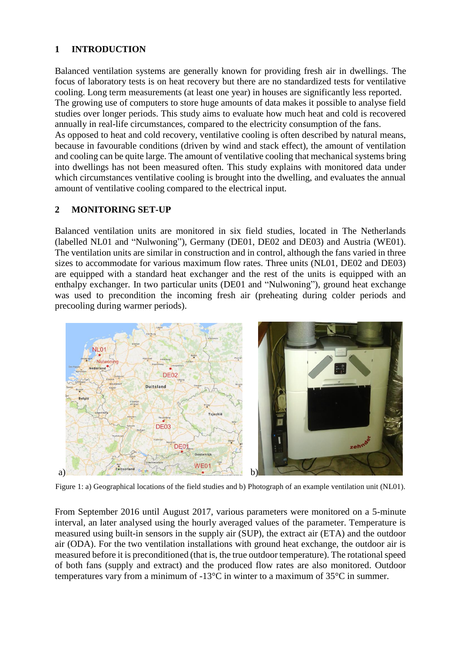# **1 INTRODUCTION**

Balanced ventilation systems are generally known for providing fresh air in dwellings. The focus of laboratory tests is on heat recovery but there are no standardized tests for ventilative cooling. Long term measurements (at least one year) in houses are significantly less reported. The growing use of computers to store huge amounts of data makes it possible to analyse field studies over longer periods. This study aims to evaluate how much heat and cold is recovered annually in real-life circumstances, compared to the electricity consumption of the fans. As opposed to heat and cold recovery, ventilative cooling is often described by natural means, because in favourable conditions (driven by wind and stack effect), the amount of ventilation and cooling can be quite large. The amount of ventilative cooling that mechanical systems bring into dwellings has not been measured often. This study explains with monitored data under which circumstances ventilative cooling is brought into the dwelling, and evaluates the annual amount of ventilative cooling compared to the electrical input.

# **2 MONITORING SET-UP**

Balanced ventilation units are monitored in six field studies, located in The Netherlands (labelled NL01 and "Nulwoning"), Germany (DE01, DE02 and DE03) and Austria (WE01). The ventilation units are similar in construction and in control, although the fans varied in three sizes to accommodate for various maximum flow rates. Three units (NL01, DE02 and DE03) are equipped with a standard heat exchanger and the rest of the units is equipped with an enthalpy exchanger. In two particular units (DE01 and "Nulwoning"), ground heat exchange was used to precondition the incoming fresh air (preheating during colder periods and precooling during warmer periods).



Figure 1: a) Geographical locations of the field studies and b) Photograph of an example ventilation unit (NL01).

From September 2016 until August 2017, various parameters were monitored on a 5-minute interval, an later analysed using the hourly averaged values of the parameter. Temperature is measured using built-in sensors in the supply air (SUP), the extract air (ETA) and the outdoor air (ODA). For the two ventilation installations with ground heat exchange, the outdoor air is measured before it is preconditioned (that is, the true outdoor temperature). The rotational speed of both fans (supply and extract) and the produced flow rates are also monitored. Outdoor temperatures vary from a minimum of -13°C in winter to a maximum of 35°C in summer.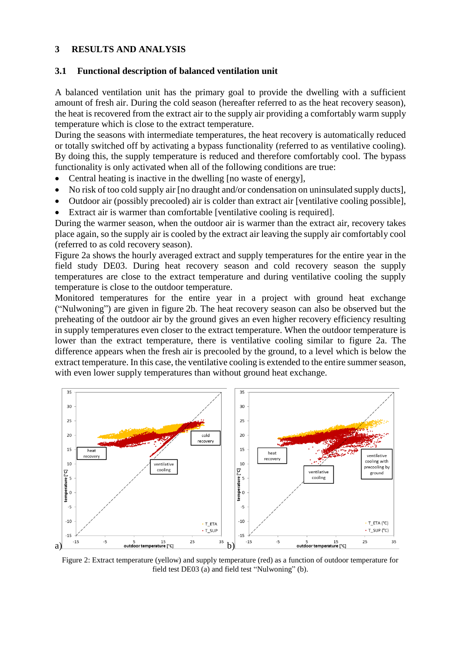## **3 RESULTS AND ANALYSIS**

#### **3.1 Functional description of balanced ventilation unit**

A balanced ventilation unit has the primary goal to provide the dwelling with a sufficient amount of fresh air. During the cold season (hereafter referred to as the heat recovery season), the heat is recovered from the extract air to the supply air providing a comfortably warm supply temperature which is close to the extract temperature.

During the seasons with intermediate temperatures, the heat recovery is automatically reduced or totally switched off by activating a bypass functionality (referred to as ventilative cooling). By doing this, the supply temperature is reduced and therefore comfortably cool. The bypass functionality is only activated when all of the following conditions are true:

- Central heating is inactive in the dwelling [no waste of energy],
- No risk of too cold supply air [no draught and/or condensation on uninsulated supply ducts],
- Outdoor air (possibly precooled) air is colder than extract air [ventilative cooling possible],
- Extract air is warmer than comfortable [ventilative cooling is required].

During the warmer season, when the outdoor air is warmer than the extract air, recovery takes place again, so the supply air is cooled by the extract air leaving the supply air comfortably cool (referred to as cold recovery season).

Figure 2a shows the hourly averaged extract and supply temperatures for the entire year in the field study DE03. During heat recovery season and cold recovery season the supply temperatures are close to the extract temperature and during ventilative cooling the supply temperature is close to the outdoor temperature.

Monitored temperatures for the entire year in a project with ground heat exchange ("Nulwoning") are given in figure 2b. The heat recovery season can also be observed but the preheating of the outdoor air by the ground gives an even higher recovery efficiency resulting in supply temperatures even closer to the extract temperature. When the outdoor temperature is lower than the extract temperature, there is ventilative cooling similar to figure 2a. The difference appears when the fresh air is precooled by the ground, to a level which is below the extract temperature. In this case, the ventilative cooling is extended to the entire summer season, with even lower supply temperatures than without ground heat exchange.



Figure 2: Extract temperature (yellow) and supply temperature (red) as a function of outdoor temperature for field test DE03 (a) and field test "Nulwoning" (b).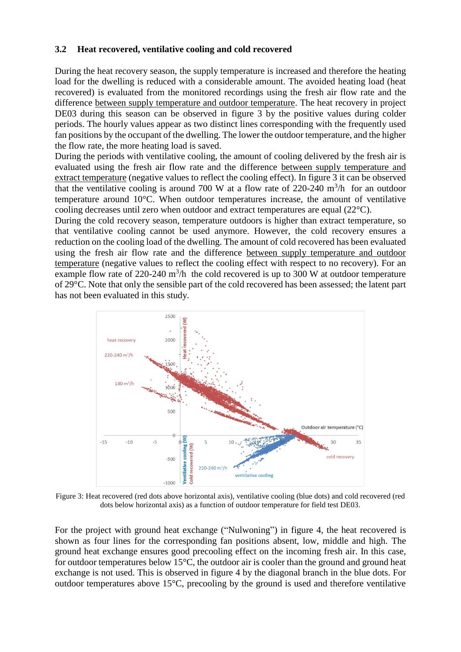## **3.2 Heat recovered, ventilative cooling and cold recovered**

During the heat recovery season, the supply temperature is increased and therefore the heating load for the dwelling is reduced with a considerable amount. The avoided heating load (heat recovered) is evaluated from the monitored recordings using the fresh air flow rate and the difference between supply temperature and outdoor temperature. The heat recovery in project DE03 during this season can be observed in figure 3 by the positive values during colder periods. The hourly values appear as two distinct lines corresponding with the frequently used fan positions by the occupant of the dwelling. The lower the outdoor temperature, and the higher the flow rate, the more heating load is saved.

During the periods with ventilative cooling, the amount of cooling delivered by the fresh air is evaluated using the fresh air flow rate and the difference between supply temperature and extract temperature (negative values to reflect the cooling effect). In figure 3 it can be observed that the ventilative cooling is around 700 W at a flow rate of 220-240  $m^3/h$  for an outdoor temperature around 10°C. When outdoor temperatures increase, the amount of ventilative cooling decreases until zero when outdoor and extract temperatures are equal (22°C).

During the cold recovery season, temperature outdoors is higher than extract temperature, so that ventilative cooling cannot be used anymore. However, the cold recovery ensures a reduction on the cooling load of the dwelling. The amount of cold recovered has been evaluated using the fresh air flow rate and the difference between supply temperature and outdoor temperature (negative values to reflect the cooling effect with respect to no recovery). For an example flow rate of 220-240  $\text{m}^3/\text{h}$  the cold recovered is up to 300 W at outdoor temperature of 29°C. Note that only the sensible part of the cold recovered has been assessed; the latent part has not been evaluated in this study.



Figure 3: Heat recovered (red dots above horizontal axis), ventilative cooling (blue dots) and cold recovered (red dots below horizontal axis) as a function of outdoor temperature for field test DE03.

For the project with ground heat exchange ("Nulwoning") in figure 4, the heat recovered is shown as four lines for the corresponding fan positions absent, low, middle and high. The ground heat exchange ensures good precooling effect on the incoming fresh air. In this case, for outdoor temperatures below  $15^{\circ}$ C, the outdoor air is cooler than the ground and ground heat exchange is not used. This is observed in figure 4 by the diagonal branch in the blue dots. For outdoor temperatures above 15°C, precooling by the ground is used and therefore ventilative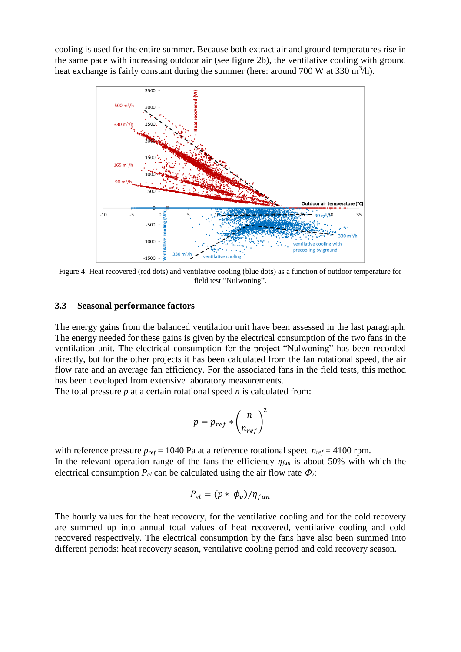cooling is used for the entire summer. Because both extract air and ground temperatures rise in the same pace with increasing outdoor air (see figure 2b), the ventilative cooling with ground heat exchange is fairly constant during the summer (here: around 700 W at 330 m<sup>3</sup>/h).



Figure 4: Heat recovered (red dots) and ventilative cooling (blue dots) as a function of outdoor temperature for field test "Nulwoning".

#### **3.3 Seasonal performance factors**

The energy gains from the balanced ventilation unit have been assessed in the last paragraph. The energy needed for these gains is given by the electrical consumption of the two fans in the ventilation unit. The electrical consumption for the project "Nulwoning" has been recorded directly, but for the other projects it has been calculated from the fan rotational speed, the air flow rate and an average fan efficiency. For the associated fans in the field tests, this method has been developed from extensive laboratory measurements.

The total pressure *p* at a certain rotational speed *n* is calculated from:

$$
p = p_{ref} * \left(\frac{n}{n_{ref}}\right)^2
$$

with reference pressure  $p_{ref} = 1040$  Pa at a reference rotational speed  $n_{ref} = 4100$  rpm. In the relevant operation range of the fans the efficiency *ηfan* is about 50% with which the electrical consumption  $P_{el}$  can be calculated using the air flow rate  $\Phi_{\nu}$ :

$$
P_{el} = (p * \phi_v) / \eta_{fan}
$$

The hourly values for the heat recovery, for the ventilative cooling and for the cold recovery are summed up into annual total values of heat recovered, ventilative cooling and cold recovered respectively. The electrical consumption by the fans have also been summed into different periods: heat recovery season, ventilative cooling period and cold recovery season.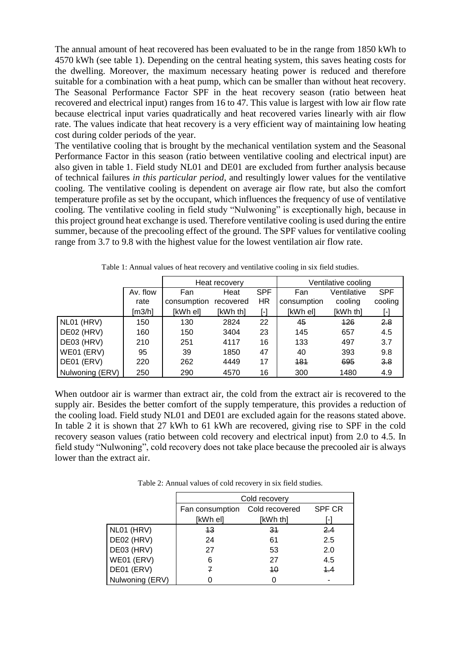The annual amount of heat recovered has been evaluated to be in the range from 1850 kWh to 4570 kWh (see table 1). Depending on the central heating system, this saves heating costs for the dwelling. Moreover, the maximum necessary heating power is reduced and therefore suitable for a combination with a heat pump, which can be smaller than without heat recovery. The Seasonal Performance Factor SPF in the heat recovery season (ratio between heat recovered and electrical input) ranges from 16 to 47. This value is largest with low air flow rate because electrical input varies quadratically and heat recovered varies linearly with air flow rate. The values indicate that heat recovery is a very efficient way of maintaining low heating cost during colder periods of the year.

The ventilative cooling that is brought by the mechanical ventilation system and the Seasonal Performance Factor in this season (ratio between ventilative cooling and electrical input) are also given in table 1. Field study NL01 and DE01 are excluded from further analysis because of technical failures *in this particular period*, and resultingly lower values for the ventilative cooling. The ventilative cooling is dependent on average air flow rate, but also the comfort temperature profile as set by the occupant, which influences the frequency of use of ventilative cooling. The ventilative cooling in field study "Nulwoning" is exceptionally high, because in this project ground heat exchange is used. Therefore ventilative cooling is used during the entire summer, because of the precooling effect of the ground. The SPF values for ventilative cooling range from 3.7 to 9.8 with the highest value for the lowest ventilation air flow rate.

|                 |          | Heat recovery |           |                   | Ventilative cooling |             |            |
|-----------------|----------|---------------|-----------|-------------------|---------------------|-------------|------------|
|                 | Av. flow | Fan           | Heat      | <b>SPF</b>        | Fan                 | Ventilative | <b>SPF</b> |
|                 | rate     | consumption   | recovered | HR                | consumption         | cooling     | cooling    |
|                 | [m3/h]   | [kWh el]      | [kWh th]  | $\lceil - \rceil$ | [kWh el]            | [kWh th]    | $[\cdot]$  |
| NL01 (HRV)      | 150      | 130           | 2824      | 22                | 45                  | 426         | 2.8        |
| DE02 (HRV)      | 160      | 150           | 3404      | 23                | 145                 | 657         | 4.5        |
| DE03 (HRV)      | 210      | 251           | 4117      | 16                | 133                 | 497         | 3.7        |
| WE01 (ERV)      | 95       | 39            | 1850      | 47                | 40                  | 393         | 9.8        |
| DE01 (ERV)      | 220      | 262           | 4449      | 17                | 484                 | 695         | 3.8        |
| Nulwoning (ERV) | 250      | 290           | 4570      | 16                | 300                 | 1480        | 4.9        |

Table 1: Annual values of heat recovery and ventilative cooling in six field studies.

When outdoor air is warmer than extract air, the cold from the extract air is recovered to the supply air. Besides the better comfort of the supply temperature, this provides a reduction of the cooling load. Field study NL01 and DE01 are excluded again for the reasons stated above. In table 2 it is shown that 27 kWh to 61 kWh are recovered, giving rise to SPF in the cold recovery season values (ratio between cold recovery and electrical input) from 2.0 to 4.5. In field study "Nulwoning", cold recovery does not take place because the precooled air is always lower than the extract air.

Table 2: Annual values of cold recovery in six field studies.

|                 | Cold recovery   |                |               |  |  |  |
|-----------------|-----------------|----------------|---------------|--|--|--|
|                 | Fan consumption | Cold recovered | <b>SPF CR</b> |  |  |  |
|                 | [kWh el]        | [kWh th]       |               |  |  |  |
| NL01 (HRV)      | 43              | 31             | 2.4           |  |  |  |
| DE02 (HRV)      | 24              | 61             | 2.5           |  |  |  |
| DE03 (HRV)      | 27              | 53             | 2.0           |  |  |  |
| WE01 (ERV)      | 6               | 27             | 4.5           |  |  |  |
| DE01 (ERV)      | 7               | 40             | 4.4           |  |  |  |
| Nulwoning (ERV) |                 | 0              |               |  |  |  |